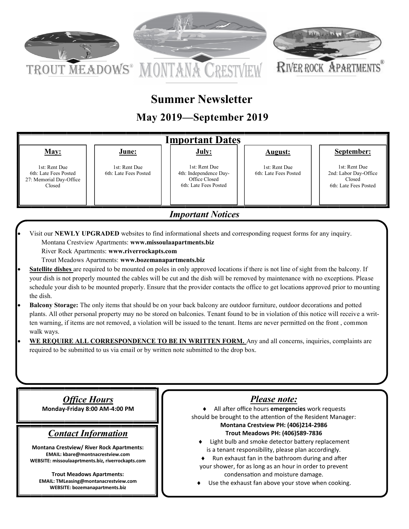

# **Summer Newsletter**

## **May 2019—September 2019**



27: Memorial Day-Office Closed

Office Closed 6th: Late Fees Posted

Closed 6th: Late Fees Posted

*Important Notices*

 Visit our **NEWLY UPGRADED** websites to find informational sheets and corresponding request forms for any inquiry. Montana Crestview Apartments: **www.missoulaapartments.biz**

River Rock Apartments: **www.riverrockapts.com**

Trout Meadows Apartments: **www.bozemanapartments.biz**

- **Satellite dishes** are required to be mounted on poles in only approved locations if there is not line of sight from the balcony. If your dish is not properly mounted the cables will be cut and the dish will be removed by maintenance with no exceptions. Please schedule your dish to be mounted properly. Ensure that the provider contacts the office to get locations approved prior to mounting the dish.
- **Balcony Storage:** The only items that should be on your back balcony are outdoor furniture, outdoor decorations and potted plants. All other personal property may no be stored on balconies. Tenant found to be in violation of this notice will receive a written warning, if items are not removed, a violation will be issued to the tenant. Items are never permitted on the front , common walk ways.
- **WE REQUIRE ALL CORRESPONDENCE TO BE IN WRITTEN FORM.** Any and all concerns, inquiries, complaints are required to be submitted to us via email or by written note submitted to the drop box.

*Office Hours*

**Monday-Friday 8:00 AM-4:00 PM** 

## *Contact Information*

**Montana Crestview/ River Rock Apartments: EMAIL: kbare@montnacrestview.com WEBSITE: missoulaaprtments.biz, riverrockapts.com**

**Trout Meadows Apartments: EMAIL: TMLeasing@montanacrestview.com WEBSITE: bozemanapartments.biz**

## *Please note:*

 All after office hours **emergencies** work requests should be brought to the attention of the Resident Manager: **Montana Crestview PH: (406)214-2986 Trout Meadows PH: (406)589-7836**

- Light bulb and smoke detector battery replacement is a tenant responsibility, please plan accordingly.
- Run exhaust fan in the bathroom during and after your shower, for as long as an hour in order to prevent condensation and moisture damage.
- Use the exhaust fan above your stove when cooking.